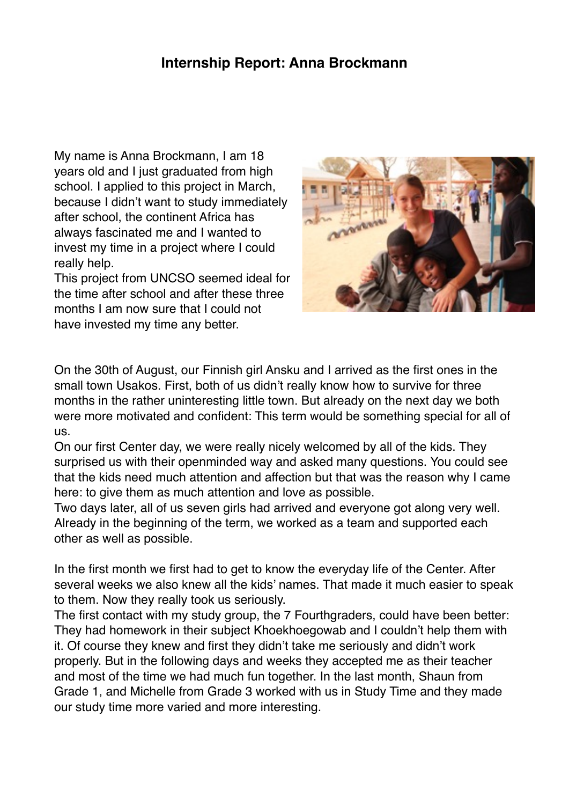## **Internship Report: Anna Brockmann**

My name is Anna Brockmann, I am 18 years old and I just graduated from high school. I applied to this project in March, because I didn't want to study immediately after school, the continent Africa has always fascinated me and I wanted to invest my time in a project where I could really help.

This project from UNCSO seemed ideal for the time after school and after these three months I am now sure that I could not have invested my time any better.



On the 30th of August, our Finnish girl Ansku and I arrived as the first ones in the small town Usakos. First, both of us didn't really know how to survive for three months in the rather uninteresting little town. But already on the next day we both were more motivated and confident: This term would be something special for all of us.

On our first Center day, we were really nicely welcomed by all of the kids. They surprised us with their openminded way and asked many questions. You could see that the kids need much attention and affection but that was the reason why I came here: to give them as much attention and love as possible.

Two days later, all of us seven girls had arrived and everyone got along very well. Already in the beginning of the term, we worked as a team and supported each other as well as possible.

In the first month we first had to get to know the everyday life of the Center. After several weeks we also knew all the kids' names. That made it much easier to speak to them. Now they really took us seriously.

The first contact with my study group, the 7 Fourthgraders, could have been better: They had homework in their subject Khoekhoegowab and I couldn't help them with it. Of course they knew and first they didn't take me seriously and didn't work properly. But in the following days and weeks they accepted me as their teacher and most of the time we had much fun together. In the last month, Shaun from Grade 1, and Michelle from Grade 3 worked with us in Study Time and they made our study time more varied and more interesting.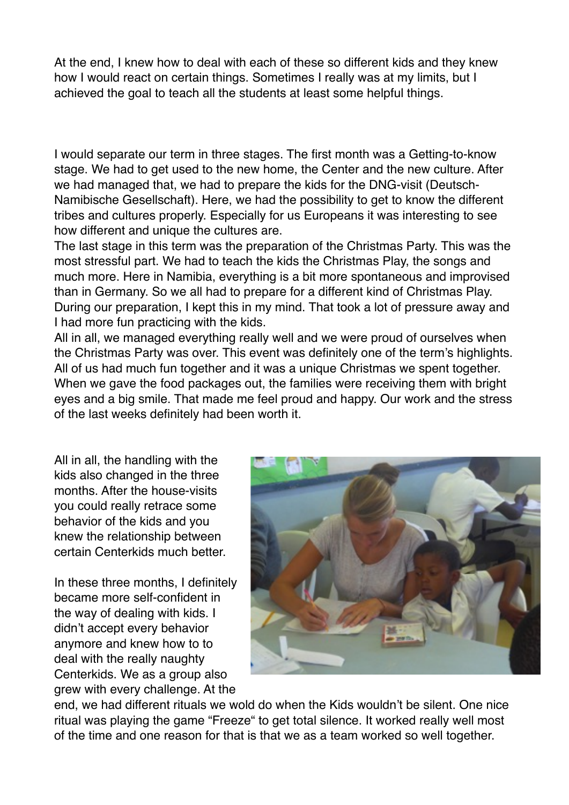At the end, I knew how to deal with each of these so different kids and they knew how I would react on certain things. Sometimes I really was at my limits, but I achieved the goal to teach all the students at least some helpful things.

I would separate our term in three stages. The first month was a Getting-to-know stage. We had to get used to the new home, the Center and the new culture. After we had managed that, we had to prepare the kids for the DNG-visit (Deutsch-Namibische Gesellschaft). Here, we had the possibility to get to know the different tribes and cultures properly. Especially for us Europeans it was interesting to see how different and unique the cultures are.

The last stage in this term was the preparation of the Christmas Party. This was the most stressful part. We had to teach the kids the Christmas Play, the songs and much more. Here in Namibia, everything is a bit more spontaneous and improvised than in Germany. So we all had to prepare for a different kind of Christmas Play. During our preparation, I kept this in my mind. That took a lot of pressure away and I had more fun practicing with the kids.

All in all, we managed everything really well and we were proud of ourselves when the Christmas Party was over. This event was definitely one of the term's highlights. All of us had much fun together and it was a unique Christmas we spent together. When we gave the food packages out, the families were receiving them with bright eyes and a big smile. That made me feel proud and happy. Our work and the stress of the last weeks definitely had been worth it.

All in all, the handling with the kids also changed in the three months. After the house-visits you could really retrace some behavior of the kids and you knew the relationship between certain Centerkids much better.

In these three months, I definitely became more self-confident in the way of dealing with kids. I didn't accept every behavior anymore and knew how to to deal with the really naughty Centerkids. We as a group also grew with every challenge. At the



end, we had different rituals we wold do when the Kids wouldn't be silent. One nice ritual was playing the game "Freeze" to get total silence. It worked really well most of the time and one reason for that is that we as a team worked so well together.